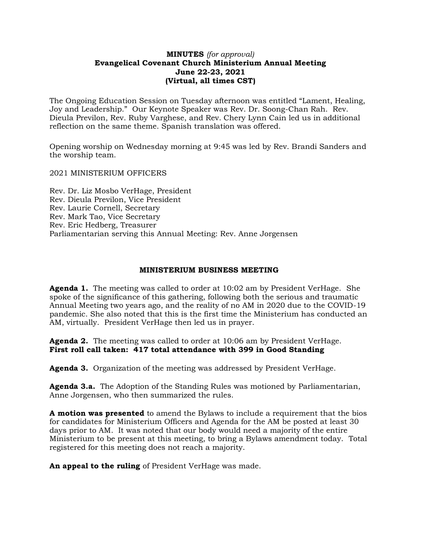## **MINUTES** *(for approval)* **Evangelical Covenant Church Ministerium Annual Meeting June 22-23, 2021 (Virtual, all times CST)**

The Ongoing Education Session on Tuesday afternoon was entitled "Lament, Healing, Joy and Leadership." Our Keynote Speaker was Rev. Dr. Soong-Chan Rah. Rev. Dieula Previlon, Rev. Ruby Varghese, and Rev. Chery Lynn Cain led us in additional reflection on the same theme. Spanish translation was offered.

Opening worship on Wednesday morning at 9:45 was led by Rev. Brandi Sanders and the worship team.

2021 MINISTERIUM OFFICERS

Rev. Dr. Liz Mosbo VerHage, President Rev. Dieula Previlon, Vice President Rev. Laurie Cornell, Secretary Rev. Mark Tao, Vice Secretary Rev. Eric Hedberg, Treasurer Parliamentarian serving this Annual Meeting: Rev. Anne Jorgensen

#### **MINISTERIUM BUSINESS MEETING**

**Agenda 1.** The meeting was called to order at 10:02 am by President VerHage. She spoke of the significance of this gathering, following both the serious and traumatic Annual Meeting two years ago, and the reality of no AM in 2020 due to the COVID-19 pandemic. She also noted that this is the first time the Ministerium has conducted an AM, virtually. President VerHage then led us in prayer.

**Agenda 2.** The meeting was called to order at 10:06 am by President VerHage. **First roll call taken: 417 total attendance with 399 in Good Standing**

**Agenda 3.** Organization of the meeting was addressed by President VerHage.

**Agenda 3.a.** The Adoption of the Standing Rules was motioned by Parliamentarian, Anne Jorgensen, who then summarized the rules.

**A motion was presented** to amend the Bylaws to include a requirement that the bios for candidates for Ministerium Officers and Agenda for the AM be posted at least 30 days prior to AM. It was noted that our body would need a majority of the entire Ministerium to be present at this meeting, to bring a Bylaws amendment today. Total registered for this meeting does not reach a majority.

**An appeal to the ruling** of President VerHage was made.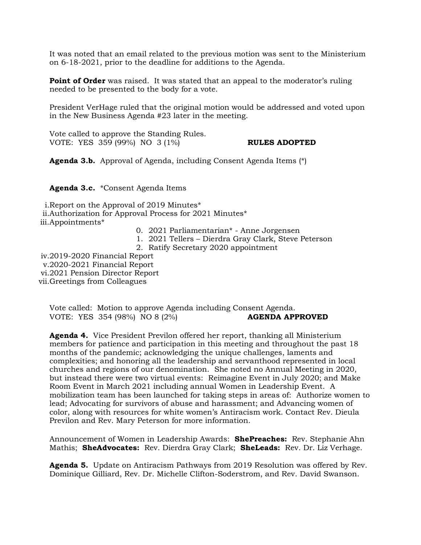It was noted that an email related to the previous motion was sent to the Ministerium on 6-18-2021, prior to the deadline for additions to the Agenda.

**Point of Order** was raised. It was stated that an appeal to the moderator's ruling needed to be presented to the body for a vote.

President VerHage ruled that the original motion would be addressed and voted upon in the New Business Agenda #23 later in the meeting.

Vote called to approve the Standing Rules. VOTE: YES 359 (99%) NO 3 (1%) **RULES ADOPTED**

**Agenda 3.b.** Approval of Agenda, including Consent Agenda Items (\*)

**Agenda 3.c.** \*Consent Agenda Items

i.Report on the Approval of 2019 Minutes\* ii.Authorization for Approval Process for 2021 Minutes\* iii.Appointments\*

- 0. 2021 Parliamentarian\* Anne Jorgensen
- 1. 2021 Tellers Dierdra Gray Clark, Steve Peterson
- 2. Ratify Secretary 2020 appointment

iv.2019-2020 Financial Report v.2020-2021 Financial Report vi.2021 Pension Director Report vii.Greetings from Colleagues

Vote called: Motion to approve Agenda including Consent Agenda. VOTE: YES 354 (98%) NO 8 (2%) **AGENDA APPROVED**

**Agenda 4.** Vice President Previlon offered her report, thanking all Ministerium members for patience and participation in this meeting and throughout the past 18 months of the pandemic; acknowledging the unique challenges, laments and complexities; and honoring all the leadership and servanthood represented in local churches and regions of our denomination. She noted no Annual Meeting in 2020, but instead there were two virtual events: Reimagine Event in July 2020; and Make Room Event in March 2021 including annual Women in Leadership Event. A mobilization team has been launched for taking steps in areas of: Authorize women to lead; Advocating for survivors of abuse and harassment; and Advancing women of color, along with resources for white women's Antiracism work. Contact Rev. Dieula Previlon and Rev. Mary Peterson for more information.

Announcement of Women in Leadership Awards: **ShePreaches:** Rev. Stephanie Ahn Mathis; **SheAdvocates:** Rev. Dierdra Gray Clark; **SheLeads:** Rev. Dr. Liz Verhage.

**Agenda 5.** Update on Antiracism Pathways from 2019 Resolution was offered by Rev. Dominique Gilliard, Rev. Dr. Michelle Clifton-Soderstrom, and Rev. David Swanson.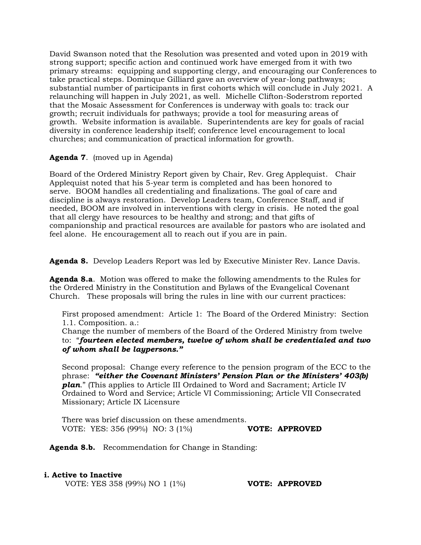David Swanson noted that the Resolution was presented and voted upon in 2019 with strong support; specific action and continued work have emerged from it with two primary streams: equipping and supporting clergy, and encouraging our Conferences to take practical steps. Dominque Gilliard gave an overview of year-long pathways; substantial number of participants in first cohorts which will conclude in July 2021. A relaunching will happen in July 2021, as well. Michelle Clifton-Soderstrom reported that the Mosaic Assessment for Conferences is underway with goals to: track our growth; recruit individuals for pathways; provide a tool for measuring areas of growth. Website information is available. Superintendents are key for goals of racial diversity in conference leadership itself; conference level encouragement to local churches; and communication of practical information for growth.

# **Agenda 7**. (moved up in Agenda)

Board of the Ordered Ministry Report given by Chair, Rev. Greg Applequist. Chair Applequist noted that his 5-year term is completed and has been honored to serve. BOOM handles all credentialing and finalizations. The goal of care and discipline is always restoration. Develop Leaders team, Conference Staff, and if needed, BOOM are involved in interventions with clergy in crisis. He noted the goal that all clergy have resources to be healthy and strong; and that gifts of companionship and practical resources are available for pastors who are isolated and feel alone. He encouragement all to reach out if you are in pain.

**Agenda 8.** Develop Leaders Report was led by Executive Minister Rev. Lance Davis.

**Agenda 8.a**. Motion was offered to make the following amendments to the Rules for the Ordered Ministry in the Constitution and Bylaws of the Evangelical Covenant Church. These proposals will bring the rules in line with our current practices:

First proposed amendment: Article 1: The Board of the Ordered Ministry: Section 1.1. Composition. a.:

Change the number of members of the Board of the Ordered Ministry from twelve to: "*fourteen elected members, twelve of whom shall be credentialed and two of whom shall be laypersons."*

Second proposal: Change every reference to the pension program of the ECC to the phrase: *"either the Covenant Ministers' Pension Plan or the Ministers' 403(b) plan*." (This applies to Article III Ordained to Word and Sacrament; Article IV Ordained to Word and Service; Article VI Commissioning; Article VII Consecrated Missionary; Article IX Licensure

There was brief discussion on these amendments. VOTE: YES: 356 (99%) NO: 3 (1%) **VOTE: APPROVED**

**Agenda 8.b.** Recommendation for Change in Standing:

## **i. Active to Inactive**

VOTE: YES 358 (99%) NO 1 (1%) **VOTE: APPROVED**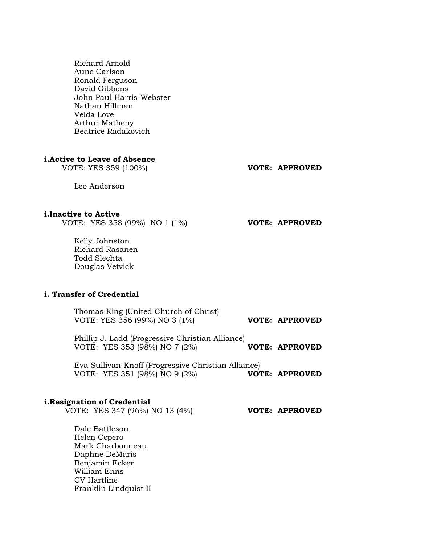Richard Arnold Aune Carlson Ronald Ferguson David Gibbons John Paul Harris-Webster Nathan Hillman Velda Love Arthur Matheny Beatrice Radakovich

#### **i.Active to Leave of Absence**

VOTE: YES 359 (100%) **VOTE: APPROVED**

Leo Anderson

#### **i.Inactive to Active**

VOTE: YES 358 (99%) NO 1 (1%) **VOTE: APPROVED**

Kelly Johnston Richard Rasanen Todd Slechta Douglas Vetvick

# **i. Transfer of Credential**

Thomas King (United Church of Christ) VOTE: YES 356 (99%) NO 3 (1%) **VOTE: APPROVED**

Phillip J. Ladd (Progressive Christian Alliance) VOTE: YES 353 (98%) NO 7 (2%) **VOTE: APPROVED**

Eva Sullivan-Knoff (Progressive Christian Alliance) VOTE: YES 351 (98%) NO 9 (2%) **VOTE: APPROVED**

#### **i.Resignation of Credential**

VOTE: YES 347 (96%) NO 13 (4%) **VOTE: APPROVED**

Dale Battleson Helen Cepero Mark Charbonneau Daphne DeMaris Benjamin Ecker William Enns CV Hartline Franklin Lindquist II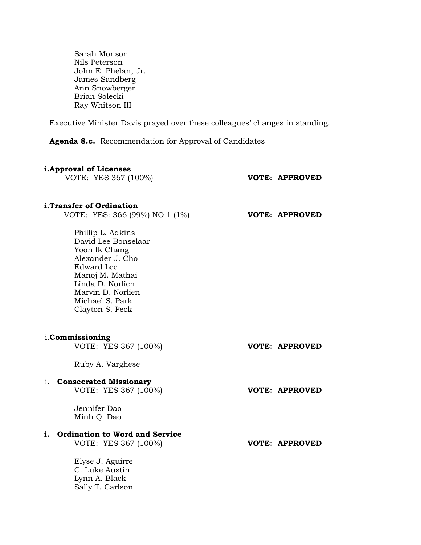Sarah Monson Nils Peterson John E. Phelan, Jr. James Sandberg Ann Snowberger Brian Solecki Ray Whitson III

Executive Minister Davis prayed over these colleagues' changes in standing.

**Agenda 8.c.** Recommendation for Approval of Candidates

#### **i.Approval of Licenses**

VOTE: YES 367 (100%) **VOTE: APPROVED**

#### **i.Transfer of Ordination**

VOTE: YES: 366 (99%) NO 1 (1%) **VOTE: APPROVED**

Phillip L. Adkins David Lee Bonselaar Yoon Ik Chang Alexander J. Cho Edward Lee Manoj M. Mathai Linda D. Norlien Marvin D. Norlien Michael S. Park Clayton S. Peck

|    | i. <b>Commissioning</b><br>VOTE: YES 367 (100%)                                      | <b>VOTE: APPROVED</b> |
|----|--------------------------------------------------------------------------------------|-----------------------|
|    | Ruby A. Varghese                                                                     |                       |
| 1. | <b>Consecrated Missionary</b><br>VOTE: YES 367 (100%)<br>Jennifer Dao<br>Minh Q. Dao | <b>VOTE: APPROVED</b> |
| i. | <b>Ordination to Word and Service</b><br>VOTE: YES 367 (100%)                        | <b>VOTE: APPROVED</b> |
|    | Elyse J. Aguirre<br>C. Luke Austin<br>Lynn A. Black<br>Sally T. Carlson              |                       |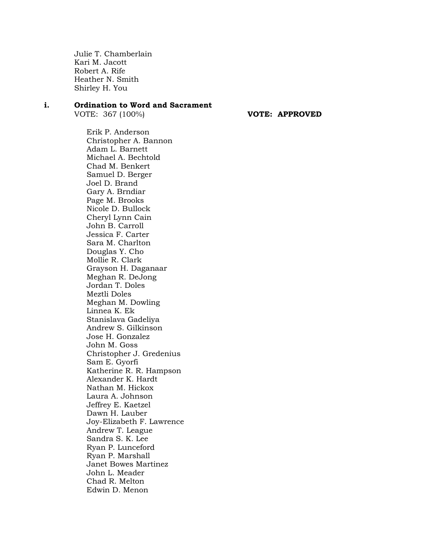Julie T. Chamberlain Kari M. Jacott Robert A. Rife Heather N. Smith Shirley H. You

#### **i. Ordination to Word and Sacrament**

VOTE: 367 (100%) **VOTE: APPROVED**

Erik P. Anderson Christopher A. Bannon Adam L. Barnett Michael A. Bechtold Chad M. Benkert Samuel D. Berger Joel D. Brand Gary A. Brndiar Page M. Brooks Nicole D. Bullock Cheryl Lynn Cain John B. Carroll Jessica F. Carter Sara M. Charlton Douglas Y. Cho Mollie R. Clark Grayson H. Daganaar Meghan R. DeJong Jordan T. Doles Meztli Doles Meghan M. Dowling Linnea K. Ek Stanislava Gadeliya Andrew S. Gilkinson Jose H. Gonzalez John M. Goss Christopher J. Gredenius Sam E. Gyorfi Katherine R. R. Hampson Alexander K. Hardt Nathan M. Hickox Laura A. Johnson Jeffrey E. Kaetzel Dawn H. Lauber Joy-Elizabeth F. Lawrence Andrew T. League Sandra S. K. Lee Ryan P. Lunceford Ryan P. Marshall Janet Bowes Martinez John L. Meader Chad R. Melton Edwin D. Menon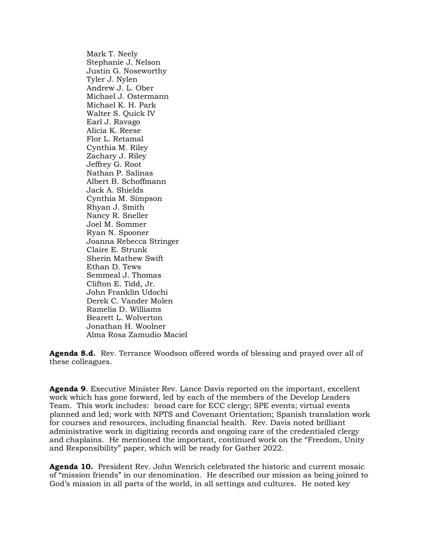Mark T. Neely Stephanie J. Nelson Justin G. Noseworthy Tyler J. Nylen Andrew J. L. Ober Michael J. Ostermann Michael K. H. Park Walter S. Quick IV Earl J. Ravago Alicia K. Reese Flor L. Retamal Cynthia M. Riley Zachary J. Riley Jeffrey G. Root Nathan P. Salinas Albert B. Schoffmann Jack A. Shields Cynthia M. Simpson Rhyan J. Smith Nancy R. Sneller Joel M. Sommer Ryan N. Spooner Joanna Rebecca Stringer Claire E. Strunk Sherin Mathew Swift Ethan D. Tews Semmeal J. Thomas Clifton E. Tidd, Jr. John Franklin Udochi Derek C. Vander Molen Ramelia D. Williams Bearett L. Wolverton Jonathan H. Woolner Alma Rosa Zamudio Maciel

**Agenda 8.d.** Rev. Terrance Woodson offered words of blessing and prayed over all of these colleagues.

**Agenda 9**. Executive Minister Rev. Lance Davis reported on the important, excellent work which has gone forward, led by each of the members of the Develop Leaders Team. This work includes: broad care for ECC clergy; SPE events; virtual events planned and led; work with NPTS and Covenant Orientation; Spanish translation work for courses and resources, including financial health. Rev. Davis noted brilliant administrative work in digitizing records and ongoing care of the credentialed clergy and chaplains. He mentioned the important, continued work on the "Freedom, Unity and Responsibility" paper, which will be ready for Gather 2022.

**Agenda 10.** President Rev. John Wenrich celebrated the historic and current mosaic of "mission friends" in our denomination. He described our mission as being joined to God's mission in all parts of the world, in all settings and cultures. He noted key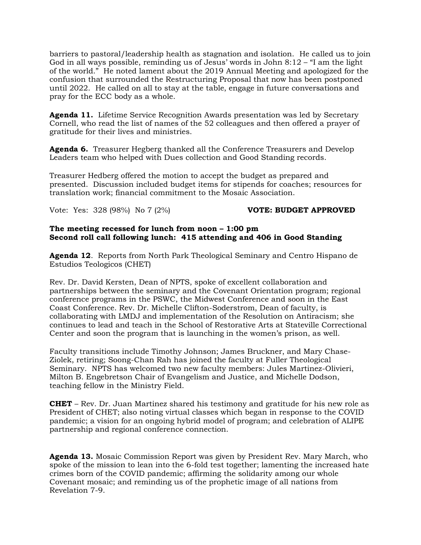barriers to pastoral/leadership health as stagnation and isolation. He called us to join God in all ways possible, reminding us of Jesus' words in John  $8:12 - 1$  am the light of the world." He noted lament about the 2019 Annual Meeting and apologized for the confusion that surrounded the Restructuring Proposal that now has been postponed until 2022. He called on all to stay at the table, engage in future conversations and pray for the ECC body as a whole.

**Agenda 11.** Lifetime Service Recognition Awards presentation was led by Secretary Cornell, who read the list of names of the 52 colleagues and then offered a prayer of gratitude for their lives and ministries.

**Agenda 6.** Treasurer Hegberg thanked all the Conference Treasurers and Develop Leaders team who helped with Dues collection and Good Standing records.

Treasurer Hedberg offered the motion to accept the budget as prepared and presented. Discussion included budget items for stipends for coaches; resources for translation work; financial commitment to the Mosaic Association.

Vote: Yes: 328 (98%) No 7 (2%) **VOTE: BUDGET APPROVED**

## **The meeting recessed for lunch from noon – 1:00 pm Second roll call following lunch: 415 attending and 406 in Good Standing**

**Agenda 12**. Reports from North Park Theological Seminary and Centro Hispano de Estudios Teologicos (CHET)

Rev. Dr. David Kersten, Dean of NPTS, spoke of excellent collaboration and partnerships between the seminary and the Covenant Orientation program; regional conference programs in the PSWC, the Midwest Conference and soon in the East Coast Conference. Rev. Dr. Michelle Clifton-Soderstrom, Dean of faculty, is collaborating with LMDJ and implementation of the Resolution on Antiracism; she continues to lead and teach in the School of Restorative Arts at Stateville Correctional Center and soon the program that is launching in the women's prison, as well.

Faculty transitions include Timothy Johnson; James Bruckner, and Mary Chase-Ziolek, retiring; Soong-Chan Rah has joined the faculty at Fuller Theological Seminary. NPTS has welcomed two new faculty members: Jules Martinez-Olivieri, Milton B. Engebretson Chair of Evangelism and Justice, and Michelle Dodson, teaching fellow in the Ministry Field.

**CHET** – Rev. Dr. Juan Martinez shared his testimony and gratitude for his new role as President of CHET; also noting virtual classes which began in response to the COVID pandemic; a vision for an ongoing hybrid model of program; and celebration of ALIPE partnership and regional conference connection.

**Agenda 13.** Mosaic Commission Report was given by President Rev. Mary March, who spoke of the mission to lean into the 6-fold test together; lamenting the increased hate crimes born of the COVID pandemic; affirming the solidarity among our whole Covenant mosaic; and reminding us of the prophetic image of all nations from Revelation 7-9.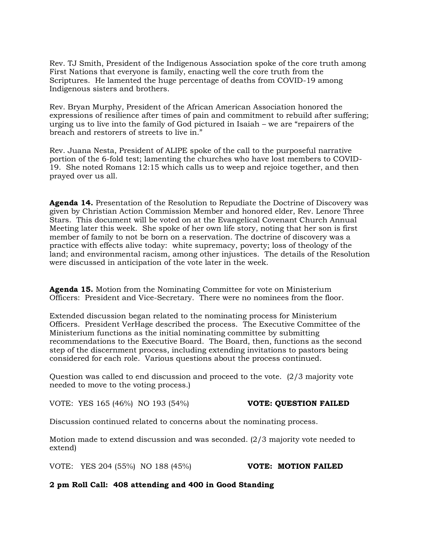Rev. TJ Smith, President of the Indigenous Association spoke of the core truth among First Nations that everyone is family, enacting well the core truth from the Scriptures. He lamented the huge percentage of deaths from COVID-19 among Indigenous sisters and brothers.

Rev. Bryan Murphy, President of the African American Association honored the expressions of resilience after times of pain and commitment to rebuild after suffering; urging us to live into the family of God pictured in Isaiah – we are "repairers of the breach and restorers of streets to live in."

Rev. Juana Nesta, President of ALIPE spoke of the call to the purposeful narrative portion of the 6-fold test; lamenting the churches who have lost members to COVID-19. She noted Romans 12:15 which calls us to weep and rejoice together, and then prayed over us all.

**Agenda 14.** Presentation of the Resolution to Repudiate the Doctrine of Discovery was given by Christian Action Commission Member and honored elder, Rev. Lenore Three Stars. This document will be voted on at the Evangelical Covenant Church Annual Meeting later this week. She spoke of her own life story, noting that her son is first member of family to not be born on a reservation. The doctrine of discovery was a practice with effects alive today: white supremacy, poverty; loss of theology of the land; and environmental racism, among other injustices. The details of the Resolution were discussed in anticipation of the vote later in the week.

**Agenda 15.** Motion from the Nominating Committee for vote on Ministerium Officers: President and Vice-Secretary. There were no nominees from the floor.

Extended discussion began related to the nominating process for Ministerium Officers. President VerHage described the process. The Executive Committee of the Ministerium functions as the initial nominating committee by submitting recommendations to the Executive Board. The Board, then, functions as the second step of the discernment process, including extending invitations to pastors being considered for each role. Various questions about the process continued.

Question was called to end discussion and proceed to the vote. (2/3 majority vote needed to move to the voting process.)

VOTE: YES 165 (46%) NO 193 (54%) **VOTE: QUESTION FAILED** 

Discussion continued related to concerns about the nominating process.

Motion made to extend discussion and was seconded. (2/3 majority vote needed to extend)

VOTE: YES 204 (55%) NO 188 (45%) **VOTE: MOTION FAILED**

# **2 pm Roll Call: 408 attending and 400 in Good Standing**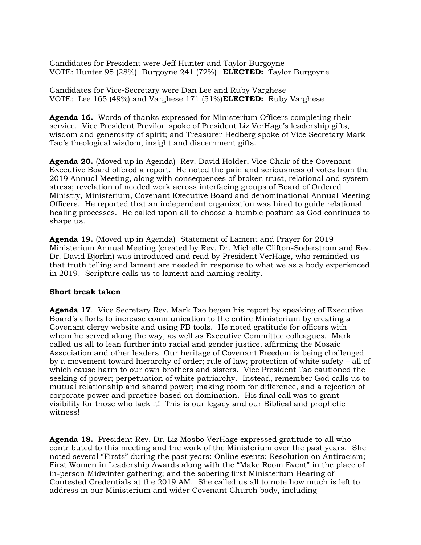Candidates for President were Jeff Hunter and Taylor Burgoyne VOTE: Hunter 95 (28%) Burgoyne 241 (72%) **ELECTED:** Taylor Burgoyne

Candidates for Vice-Secretary were Dan Lee and Ruby Varghese VOTE: Lee 165 (49%) and Varghese 171 (51%)**ELECTED:** Ruby Varghese

**Agenda 16.** Words of thanks expressed for Ministerium Officers completing their service. Vice President Previlon spoke of President Liz VerHage's leadership gifts, wisdom and generosity of spirit; and Treasurer Hedberg spoke of Vice Secretary Mark Tao's theological wisdom, insight and discernment gifts.

**Agenda 20.** (Moved up in Agenda) Rev. David Holder, Vice Chair of the Covenant Executive Board offered a report. He noted the pain and seriousness of votes from the 2019 Annual Meeting, along with consequences of broken trust, relational and system stress; revelation of needed work across interfacing groups of Board of Ordered Ministry, Ministerium, Covenant Executive Board and denominational Annual Meeting Officers. He reported that an independent organization was hired to guide relational healing processes. He called upon all to choose a humble posture as God continues to shape us.

**Agenda 19.** (Moved up in Agenda) Statement of Lament and Prayer for 2019 Ministerium Annual Meeting (created by Rev. Dr. Michelle Clifton-Soderstrom and Rev. Dr. David Bjorlin) was introduced and read by President VerHage, who reminded us that truth telling and lament are needed in response to what we as a body experienced in 2019. Scripture calls us to lament and naming reality.

## **Short break taken**

**Agenda 17**. Vice Secretary Rev. Mark Tao began his report by speaking of Executive Board's efforts to increase communication to the entire Ministerium by creating a Covenant clergy website and using FB tools. He noted gratitude for officers with whom he served along the way, as well as Executive Committee colleagues. Mark called us all to lean further into racial and gender justice, affirming the Mosaic Association and other leaders. Our heritage of Covenant Freedom is being challenged by a movement toward hierarchy of order; rule of law; protection of white safety – all of which cause harm to our own brothers and sisters. Vice President Tao cautioned the seeking of power; perpetuation of white patriarchy. Instead, remember God calls us to mutual relationship and shared power; making room for difference, and a rejection of corporate power and practice based on domination. His final call was to grant visibility for those who lack it! This is our legacy and our Biblical and prophetic witness!

**Agenda 18.** President Rev. Dr. Liz Mosbo VerHage expressed gratitude to all who contributed to this meeting and the work of the Ministerium over the past years. She noted several "Firsts" during the past years: Online events; Resolution on Antiracism; First Women in Leadership Awards along with the "Make Room Event" in the place of in-person Midwinter gathering; and the sobering first Ministerium Hearing of Contested Credentials at the 2019 AM. She called us all to note how much is left to address in our Ministerium and wider Covenant Church body, including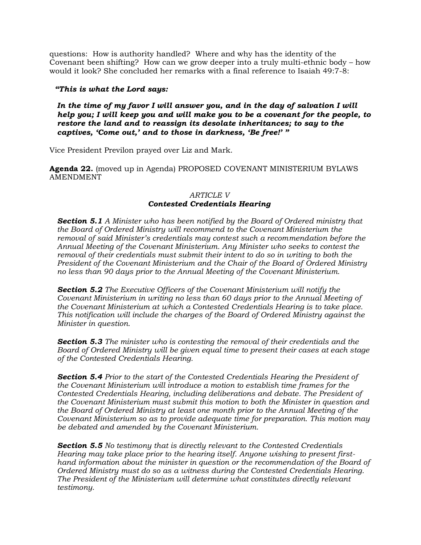questions: How is authority handled? Where and why has the identity of the Covenant been shifting? How can we grow deeper into a truly multi-ethnic body – how would it look? She concluded her remarks with a final reference to Isaiah 49:7-8:

# *"This is what the Lord says:*

*In the time of my favor I will answer you, and in the day of salvation I will help you; I will keep you and will make you to be a covenant for the people, to restore the land and to reassign its desolate inheritances; to say to the captives, 'Come out,' and to those in darkness, 'Be free!' "*

Vice President Previlon prayed over Liz and Mark.

**Agenda 22.** (moved up in Agenda) PROPOSED COVENANT MINISTERIUM BYLAWS AMENDMENT

# *ARTICLE V Contested Credentials Hearing*

*Section 5.1 A Minister who has been notified by the Board of Ordered ministry that the Board of Ordered Ministry will recommend to the Covenant Ministerium the removal of said Minister's credentials may contest such a recommendation before the Annual Meeting of the Covenant Ministerium. Any Minister who seeks to contest the removal of their credentials must submit their intent to do so in writing to both the President of the Covenant Ministerium and the Chair of the Board of Ordered Ministry no less than 90 days prior to the Annual Meeting of the Covenant Ministerium.*

*Section 5.2 The Executive Officers of the Covenant Ministerium will notify the Covenant Ministerium in writing no less than 60 days prior to the Annual Meeting of the Covenant Ministerium at which a Contested Credentials Hearing is to take place. This notification will include the charges of the Board of Ordered Ministry against the Minister in question.*

*Section 5.3 The minister who is contesting the removal of their credentials and the Board of Ordered Ministry will be given equal time to present their cases at each stage of the Contested Credentials Hearing.*

*Section 5.4 Prior to the start of the Contested Credentials Hearing the President of the Covenant Ministerium will introduce a motion to establish time frames for the Contested Credentials Hearing, including deliberations and debate. The President of the Covenant Ministerium must submit this motion to both the Minister in question and the Board of Ordered Ministry at least one month prior to the Annual Meeting of the Covenant Ministerium so as to provide adequate time for preparation. This motion may be debated and amended by the Covenant Ministerium.* 

*Section 5.5 No testimony that is directly relevant to the Contested Credentials Hearing may take place prior to the hearing itself. Anyone wishing to present firsthand information about the minister in question or the recommendation of the Board of Ordered Ministry must do so as a witness during the Contested Credentials Hearing. The President of the Ministerium will determine what constitutes directly relevant testimony.*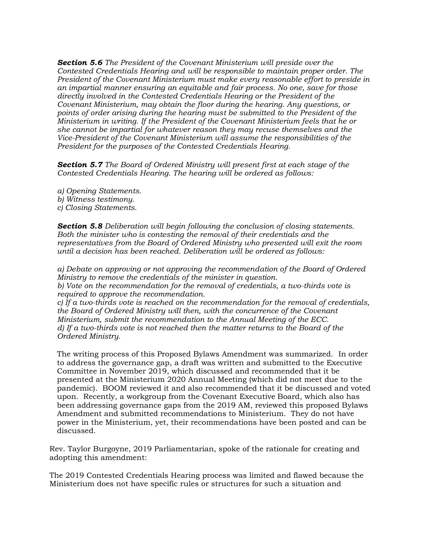*Section 5.6 The President of the Covenant Ministerium will preside over the Contested Credentials Hearing and will be responsible to maintain proper order. The President of the Covenant Ministerium must make every reasonable effort to preside in an impartial manner ensuring an equitable and fair process. No one, save for those directly involved in the Contested Credentials Hearing or the President of the Covenant Ministerium, may obtain the floor during the hearing. Any questions, or points of order arising during the hearing must be submitted to the President of the Ministerium in writing. If the President of the Covenant Ministerium feels that he or she cannot be impartial for whatever reason they may recuse themselves and the Vice-President of the Covenant Ministerium will assume the responsibilities of the President for the purposes of the Contested Credentials Hearing.*

*Section 5.7 The Board of Ordered Ministry will present first at each stage of the Contested Credentials Hearing. The hearing will be ordered as follows:*

*a) Opening Statements. b) Witness testimony. c) Closing Statements.*

*Section 5.8 Deliberation will begin following the conclusion of closing statements. Both the minister who is contesting the removal of their credentials and the representatives from the Board of Ordered Ministry who presented will exit the room until a decision has been reached. Deliberation will be ordered as follows:*

*a) Debate on approving or not approving the recommendation of the Board of Ordered Ministry to remove the credentials of the minister in question. b) Vote on the recommendation for the removal of credentials, a two-thirds vote is required to approve the recommendation. c) If a two-thirds vote is reached on the recommendation for the removal of credentials, the Board of Ordered Ministry will then, with the concurrence of the Covenant Ministerium, submit the recommendation to the Annual Meeting of the ECC. d) If a two-thirds vote is not reached then the matter returns to the Board of the Ordered Ministry.*

The writing process of this Proposed Bylaws Amendment was summarized. In order to address the governance gap, a draft was written and submitted to the Executive Committee in November 2019, which discussed and recommended that it be presented at the Ministerium 2020 Annual Meeting (which did not meet due to the pandemic). BOOM reviewed it and also recommended that it be discussed and voted upon. Recently, a workgroup from the Covenant Executive Board, which also has been addressing governance gaps from the 2019 AM, reviewed this proposed Bylaws Amendment and submitted recommendations to Ministerium. They do not have power in the Ministerium, yet, their recommendations have been posted and can be discussed.

Rev. Taylor Burgoyne, 2019 Parliamentarian, spoke of the rationale for creating and adopting this amendment:

The 2019 Contested Credentials Hearing process was limited and flawed because the Ministerium does not have specific rules or structures for such a situation and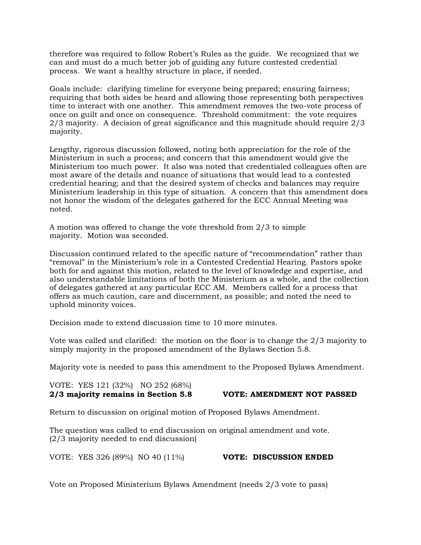therefore was required to follow Robert's Rules as the guide. We recognized that we can and must do a much better job of guiding any future contested credential process. We want a healthy structure in place, if needed.

Goals include: clarifying timeline for everyone being prepared; ensuring fairness; requiring that both sides be heard and allowing those representing both perspectives time to interact with one another. This amendment removes the two-vote process of once on guilt and once on consequence. Threshold commitment: the vote requires 2/3 majority. A decision of great significance and this magnitude should require 2/3 majority.

Lengthy, rigorous discussion followed, noting both appreciation for the role of the Ministerium in such a process; and concern that this amendment would give the Ministerium too much power. It also was noted that credentialed colleagues often are most aware of the details and nuance of situations that would lead to a contested credential hearing; and that the desired system of checks and balances may require Ministerium leadership in this type of situation. A concern that this amendment does not honor the wisdom of the delegates gathered for the ECC Annual Meeting was noted.

A motion was offered to change the vote threshold from 2/3 to simple majority. Motion was seconded.

Discussion continued related to the specific nature of "recommendation" rather than "removal" in the Ministerium's role in a Contested Credential Hearing. Pastors spoke both for and against this motion, related to the level of knowledge and expertise, and also understandable limitations of both the Ministerium as a whole, and the collection of delegates gathered at any particular ECC AM. Members called for a process that offers as much caution, care and discernment, as possible; and noted the need to uphold minority voices.

Decision made to extend discussion time to 10 more minutes.

Vote was called and clarified: the motion on the floor is to change the 2/3 majority to simply majority in the proposed amendment of the Bylaws Section 5.8.

Majority vote is needed to pass this amendment to the Proposed Bylaws Amendment.

VOTE: YES 121 (32%) NO 252 (68%) **2/3 majority remains in Section 5.8 VOTE: AMENDMENT NOT PASSED**

Return to discussion on original motion of Proposed Bylaws Amendment.

The question was called to end discussion on original amendment and vote. (2/3 majority needed to end discussion)

VOTE: YES 326 (89%) NO 40 (11%) **VOTE: DISCUSSION ENDED**

Vote on Proposed Ministerium Bylaws Amendment (needs 2/3 vote to pass)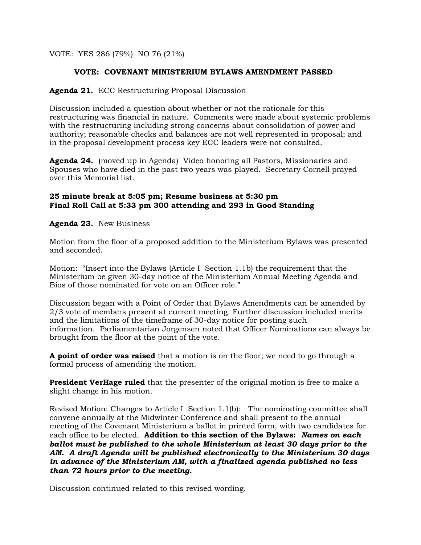VOTE: YES 286 (79%) NO 76 (21%)

# **VOTE: COVENANT MINISTERIUM BYLAWS AMENDMENT PASSED**

# **Agenda 21.** ECC Restructuring Proposal Discussion

Discussion included a question about whether or not the rationale for this restructuring was financial in nature. Comments were made about systemic problems with the restructuring including strong concerns about consolidation of power and authority; reasonable checks and balances are not well represented in proposal; and in the proposal development process key ECC leaders were not consulted.

**Agenda 24.** (moved up in Agenda) Video honoring all Pastors, Missionaries and Spouses who have died in the past two years was played. Secretary Cornell prayed over this Memorial list.

# **25 minute break at 5:05 pm; Resume business at 5:30 pm Final Roll Call at 5:33 pm 300 attending and 293 in Good Standing**

**Agenda 23.** New Business

Motion from the floor of a proposed addition to the Ministerium Bylaws was presented and seconded.

Motion: "Insert into the Bylaws (Article I Section 1.1b) the requirement that the Ministerium be given 30-day notice of the Ministerium Annual Meeting Agenda and Bios of those nominated for vote on an Officer role."

Discussion began with a Point of Order that Bylaws Amendments can be amended by 2/3 vote of members present at current meeting. Further discussion included merits and the limitations of the timeframe of 30-day notice for posting such information. Parliamentarian Jorgensen noted that Officer Nominations can always be brought from the floor at the point of the vote.

**A point of order was raised** that a motion is on the floor; we need to go through a formal process of amending the motion.

**President VerHage ruled** that the presenter of the original motion is free to make a slight change in his motion.

Revised Motion: Changes to Article I Section 1.1(b): The nominating committee shall convene annually at the Midwinter Conference and shall present to the annual meeting of the Covenant Ministerium a ballot in printed form, with two candidates for each office to be elected. **Addition to this section of the Bylaws:** *Names on each ballot must be published to the whole Ministerium at least 30 days prior to the AM. A draft Agenda will be published electronically to the Ministerium 30 days in advance of the Ministerium AM, with a finalized agenda published no less than 72 hours prior to the meeting.* 

Discussion continued related to this revised wording.